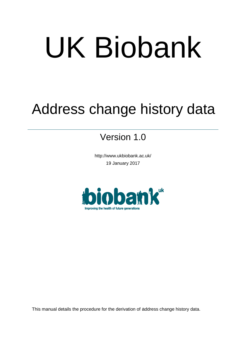# UK Biobank

## Address change history data

### Version 1.0

http://www.ukbiobank.ac.uk/ 19 January 2017



This manual details the procedure for the derivation of address change history data.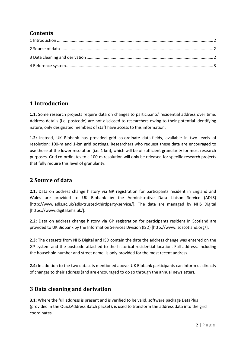#### **Contents**

#### <span id="page-1-0"></span>**1 Introduction**

**1.1:** Some research projects require data on changes to participants' residential address over time. Address details (i.e. postcode) are not disclosed to researchers owing to their potential identifying nature; only designated members of staff have access to this information.

**1.2:** Instead, UK Biobank has provided grid co-ordinate data-fields, available in two levels of resolution: 100-m and 1-km grid postings. Researchers who request these data are encouraged to use those at the lower resolution (i.e. 1 km), which will be of sufficient granularity for most research purposes. Grid co-ordinates to a 100-m resolution will only be released for specific research projects that fully require this level of granularity.

#### <span id="page-1-1"></span>**2 Source of data**

**2.1:** Data on address change history via GP registration for participants resident in England and Wales are provided to UK Biobank by the Administrative Data Liaison Service (ADLS) [http://www.adls.ac.uk/adls-trusted-thirdparty-service/]. The data are managed by NHS Digital [https://www.digital.nhs.uk/].

**2.2:** Data on address change history via GP registration for participants resident in Scotland are provided to UK Biobank by the Information Services Division (ISD) [http://www.isdscotland.org/].

**2.3:** The datasets from NHS Digital and ISD contain the date the address change was entered on the GP system and the postcode attached to the historical residential location. Full address, including the household number and street name, is only provided for the most recent address.

**2.4:** In addition to the two datasets mentioned above, UK Biobank participants can inform us directly of changes to their address (and are encouraged to do so through the annual newsletter).

#### <span id="page-1-2"></span>**3 Data cleaning and derivation**

**3.1**: Where the full address is present and is verified to be valid, software package DataPlus (provided in the QuickAddress Batch packet), is used to transform the address data into the grid coordinates.